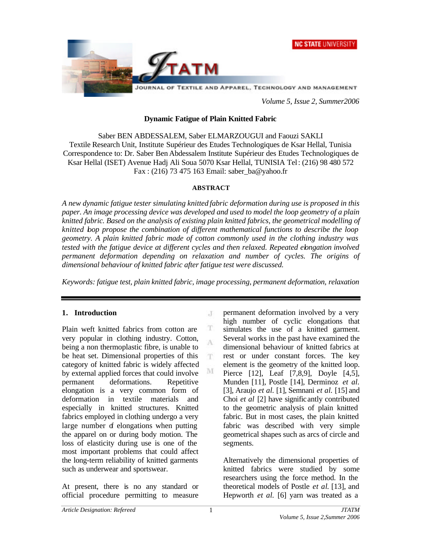



*Volume 5, Issue 2, Summer2006*

## **Dynamic Fatigue of Plain Knitted Fabric**

Saber BEN ABDESSALEM, Saber ELMARZOUGUI and Faouzi SAKLI Textile Research Unit, Institute Supérieur des Etudes Technologiques de Ksar Hellal, Tunisia Correspondence to: Dr. Saber Ben Abdessalem Institute Supérieur des Etudes Technologiques de Ksar Hellal (ISET) Avenue Hadj Ali Soua 5070 Ksar Hellal, TUNISIA Tel: (216) 98 480 572 Fax : (216) 73 475 163 Email: saber\_ba@yahoo.fr

## **ABSTRACT**

*A new dynamic fatigue tester simulating knitted fabric deformation during use is proposed in this paper. An image processing device was developed and used to model the loop geometry of a plain knitted fabric. Based on the analysis of existing plain knitted fabrics, the geometrical modelling of knitted loop propose the combination of different mathematical functions to describe the loop geometry. A plain knitted fabric made of cotton commonly used in the clothing industry was tested with the fatigue device at different cycles and then relaxed. Repeated elongation involved permanent deformation depending on relaxation and number of cycles. The origins of dimensional behaviour of knitted fabric after fatigue test were discussed.*

*Keywords: fatigue test, plain knitted fabric, image processing, permanent deformation, relaxation*

 $\Gamma$ 

T Ā

T.

M

# **1. Introduction**

Plain weft knitted fabrics from cotton are very popular in clothing industry. Cotton, being a non thermoplastic fibre, is unable to be heat set. Dimensional properties of this category of knitted fabric is widely affected by external applied forces that could involve permanent deformations. Repetitive elongation is a very common form of deformation in textile materials and especially in knitted structures. Knitted fabrics employed in clothing undergo a very large number of elongations when putting the apparel on or during body motion. The loss of elasticity during use is one of the most important problems that could affect the long-term reliability of knitted garments such as underwear and sportswear.

At present, there is no any standard or official procedure permitting to measure permanent deformation involved by a very high number of cyclic elongations that simulates the use of a knitted garment. Several works in the past have examined the dimensional behaviour of knitted fabrics at rest or under constant forces. The key element is the geometry of the knitted loop. Pierce [12], Leaf [7,8,9], Doyle [4,5], Munden [11], Postle [14], Derminoz *et al.* [3], Araujo *et al.* [1], Semnani *et al.* [15] and Choi *et al* [2] have significantly contributed to the geometric analysis of plain knitted fabric. But in most cases, the plain knitted fabric was described with very simple geometrical shapes such as arcs of circle and segments.

Alternatively the dimensional properties of knitted fabrics were studied by some researchers using the force method. In the theoretical models of Postle *et al*. [13], and Hepworth *et al.* [6] yarn was treated as a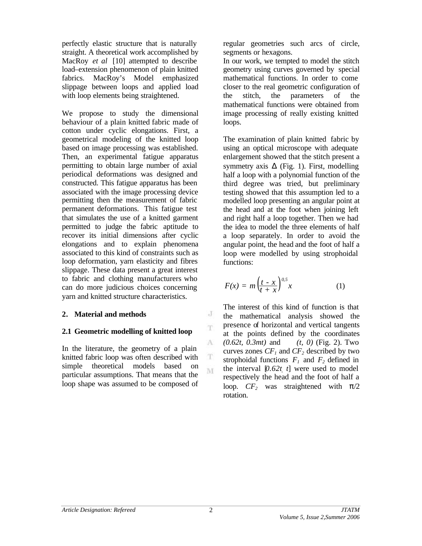perfectly elastic structure that is naturally straight. A theoretical work accomplished by MacRoy *et al* [10] attempted to describe load–extension phenomenon of plain knitted fabrics. MacRoy's Model emphasized slippage between loops and applied load with loop elements being straightened.

We propose to study the dimensional behaviour of a plain knitted fabric made of cotton under cyclic elongations. First, a geometrical modeling of the knitted loop based on image processing was established. Then, an experimental fatigue apparatus permitting to obtain large number of axial periodical deformations was designed and constructed. This fatigue apparatus has been associated with the image processing device permitting then the measurement of fabric permanent deformations. This fatigue test that simulates the use of a knitted garment permitted to judge the fabric aptitude to recover its initial dimensions after cyclic elongations and to explain phenomena associated to this kind of constraints such as loop deformation, yarn elasticity and fibres slippage. These data present a great interest to fabric and clothing manufacturers who can do more judicious choices concerning yarn and knitted structure characteristics.

# **2. Material and methods**

# **2.1 Geometric modelling of knitted loop**

In the literature, the geometry of a plain knitted fabric loop was often described with simple theoretical models based on particular assumptions. That means that the loop shape was assumed to be composed of regular geometries such arcs of circle, segments or hexagons.

In our work, we tempted to model the stitch geometry using curves governed by special mathematical functions. In order to come closer to the real geometric configuration of the stitch, the parameters of the mathematical functions were obtained from image processing of really existing knitted loops.

The examination of plain knitted fabric by using an optical microscope with adequate enlargement showed that the stitch present a symmetry axis **D** (Fig. 1). First, modelling half a loop with a polynomial function of the third degree was tried, but preliminary testing showed that this assumption led to a modelled loop presenting an angular point at the head and at the foot when joining left and right half a loop together. Then we had the idea to model the three elements of half a loop separately. In order to avoid the angular point, the head and the foot of half a loop were modelled by using strophoidal functions:

$$
F(x) = m \left(\frac{t - x}{t + x}\right)^{0.5} x \tag{1}
$$

The interest of this kind of function is that the mathematical analysis showed the presence of horizontal and vertical tangents at the points defined by the coordinates *(0.62t, 0.3mt)* and *(t, 0)* (Fig. 2). Two curves zones  $CF<sub>1</sub>$  and  $CF<sub>2</sub>$  described by two strophoidal functions  $F_1$  and  $F_2$  defined in the interval  $[0.62t, t]$  were used to model respectively the head and the foot of half a loop.  $CF_2$  was straightened with  $\pi/2$ rotation.

J T.

A

 $\mathbf T$ M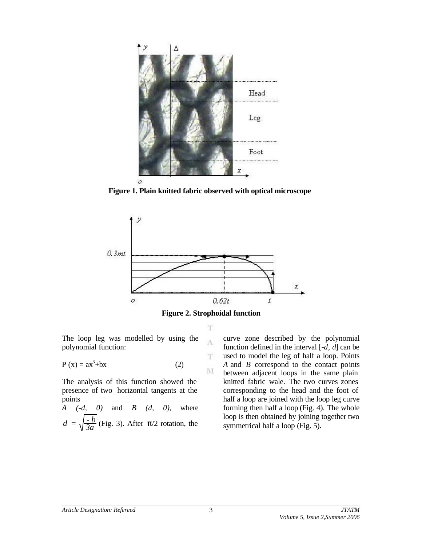

**Figure 1. Plain knitted fabric observed with optical microscope**





A

T

M

The loop leg was modelled by using the polynomial function:

$$
P(x) = ax3 + bx
$$
 (2)

The analysis of this function showed the presence of two horizontal tangents at the points

*A (-d, 0)* and *B (d, 0),* where *3a*  $d = \sqrt{\frac{-b}{3a}}$  (Fig. 3). After  $\pi/2$  rotation, the

curve zone described by the polynomial function defined in the interval [*-d, d*] can be used to model the leg of half a loop. Points *A* and *B* correspond to the contact points between adjacent loops in the same plain knitted fabric wale. The two curves zones corresponding to the head and the foot of half a loop are joined with the loop leg curve forming then half a loop (Fig. 4). The whole loop is then obtained by joining together two symmetrical half a loop (Fig. 5).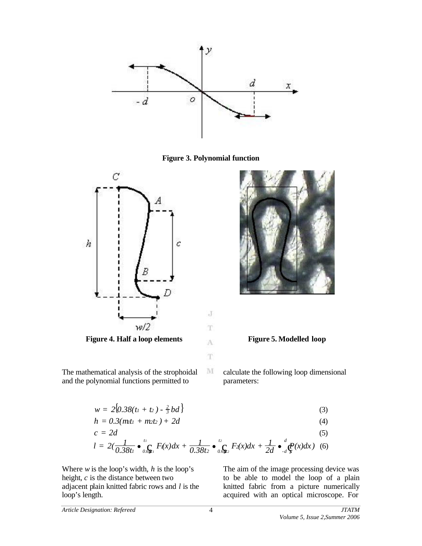

**Figure 3. Polynomial function**



**Figure 4. Half a loop elements Figure 5. Modelled loop**



The mathematical analysis of the strophoidal and the polynomial functions permitted to

calculate the following loop dimensional parameters:

$$
w = 2\{0.38(t_1 + t_2) - \frac{2}{3}bd\}\tag{3}
$$

J

T

T

 $\mathbf{M}$ 

$$
h = 0.3(mt_1 + m_2t_2) + 2d \tag{4}
$$

$$
c = 2d
$$
\n
$$
l = 2\left(\frac{1}{0.38t_1}\bullet \int_{0.9t_1}^{t_1} F(x)dx + \frac{1}{0.38t_2}\bullet \int_{0.9t_2}^{t_2} F_2(x)dx + \frac{1}{2d}\bullet \int_{d}^{d} \mathcal{Q}(x)dx\right)
$$
\n(5)

Where *w* is the loop's width, *h* is the loop's height, *c* is the distance between two adjacent plain knitted fabric rows and *l* is the loop's length.

The aim of the image processing device was to be able to model the loop of a plain knitted fabric from a picture numerically acquired with an optical microscope. For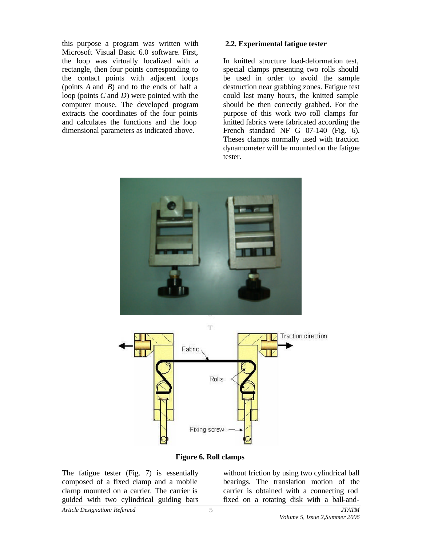this purpose a program was written with Microsoft Visual Basic 6.0 software. First, the loop was virtually localized with a rectangle, then four points corresponding to the contact points with adjacent loops (points *A* and *B*) and to the ends of half a loop (points *C* and *D*) were pointed with the computer mouse. The developed program extracts the coordinates of the four points and calculates the functions and the loop dimensional parameters as indicated above.

#### **2.2. Experimental fatigue tester**

In knitted structure load-deformation test, special clamps presenting two rolls should be used in order to avoid the sample destruction near grabbing zones. Fatigue test could last many hours, the knitted sample should be then correctly grabbed. For the purpose of this work two roll clamps for knitted fabrics were fabricated according the French standard NF G 07-140 (Fig. 6). Theses clamps normally used with traction dynamometer will be mounted on the fatigue tester.





**Figure 6. Roll clamps**

The fatigue tester (Fig. 7) is essentially composed of a fixed clamp and a mobile clamp mounted on a carrier. The carrier is guided with two cylindrical guiding bars

without friction by using two cylindrical ball bearings. The translation motion of the carrier is obtained with a connecting rod fixed on a rotating disk with a ball-and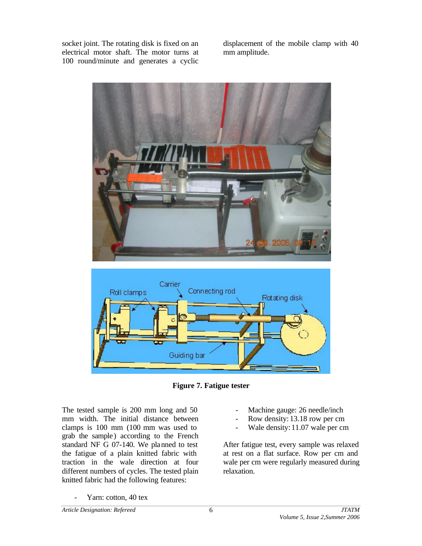socket joint. The rotating disk is fixed on an electrical motor shaft. The motor turns at 100 round/minute and generates a cyclic displacement of the mobile clamp with 40 mm amplitude.





**Figure 7. Fatigue tester**

The tested sample is 200 mm long and 50 mm width. The initial distance between clamps is 100 mm (100 mm was used to grab the sample) according to the French standard NF G 07-140. We planned to test the fatigue of a plain knitted fabric with traction in the wale direction at four different numbers of cycles. The tested plain knitted fabric had the following features:

- Machine gauge: 26 needle/inch
- Row density: 13.18 row per cm
- Wale density: 11.07 wale per cm

After fatigue test, every sample was relaxed at rest on a flat surface. Row per cm and wale per cm were regularly measured during relaxation.

Yarn: cotton, 40 tex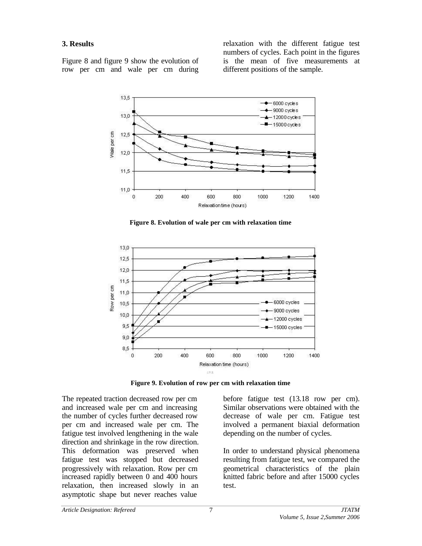## **3. Results**

Figure 8 and figure 9 show the evolution of row per cm and wale per cm during relaxation with the different fatigue test numbers of cycles. Each point in the figures is the mean of five measurements at different positions of the sample.



**Figure 8. Evolution of wale per cm with relaxation time**



**Figure 9. Evolution of row per cm with relaxation time**

The repeated traction decreased row per cm and increased wale per cm and increasing the number of cycles further decreased row per cm and increased wale per cm. The fatigue test involved lengthening in the wale direction and shrinkage in the row direction. This deformation was preserved when fatigue test was stopped but decreased progressively with relaxation. Row per cm increased rapidly between 0 and 400 hours relaxation, then increased slowly in an asymptotic shape but never reaches value

before fatigue test (13.18 row per cm). Similar observations were obtained with the decrease of wale per cm. Fatigue test involved a permanent biaxial deformation depending on the number of cycles.

In order to understand physical phenomena resulting from fatigue test, we compared the geometrical characteristics of the plain knitted fabric before and after 15000 cycles test.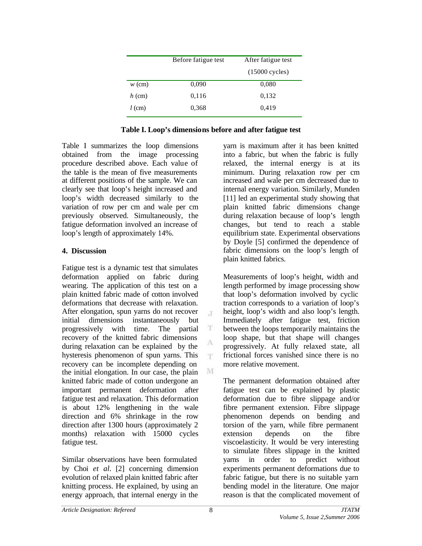|          | After fatigue test<br>Before fatigue test |                  |
|----------|-------------------------------------------|------------------|
|          |                                           | $(15000$ cycles) |
| $w$ (cm) | 0,090                                     | 0.080            |
| $h$ (cm) | 0,116                                     | 0,132            |
| $l$ (cm) | 0,368                                     | 0,419            |

| Table I. Loop's dimensions before and after fatigue test |  |  |  |
|----------------------------------------------------------|--|--|--|
|                                                          |  |  |  |

 $\cdot$ T

T

T.

M

Table I summarizes the loop dimensions obtained from the image processing procedure described above. Each value of the table is the mean of five measurements at different positions of the sample. We can clearly see that loop's height increased and loop's width decreased similarly to the variation of row per cm and wale per cm previously observed. Simultaneously, the fatigue deformation involved an increase of loop's length of approximately 14%.

# **4. Discussion**

Fatigue test is a dynamic test that simulates deformation applied on fabric during wearing. The application of this test on a plain knitted fabric made of cotton involved deformations that decrease with relaxation. After elongation, spun yarns do not recover initial dimensions instantaneously but progressively with time. The partial recovery of the knitted fabric dimensions during relaxation can be explained by the hysteresis phenomenon of spun yarns. This recovery can be incomplete depending on the initial elongation. In our case, the plain knitted fabric made of cotton undergone an important permanent deformation after fatigue test and relaxation. This deformation is about 12% lengthening in the wale direction and 6% shrinkage in the row direction after 1300 hours (approximately 2 months) relaxation with 15000 cycles fatigue test.

Similar observations have been formulated by Choi *et al.* [2] concerning dimension evolution of relaxed plain knitted fabric after knitting process. He explained, by using an energy approach, that internal energy in the

yarn is maximum after it has been knitted into a fabric, but when the fabric is fully relaxed, the internal energy is at its minimum. During relaxation row per cm increased and wale per cm decreased due to internal energy variation. Similarly, Munden [11] led an experimental study showing that plain knitted fabric dimensions change during relaxation because of loop's length changes, but tend to reach a stable equilibrium state. Experimental observations by Doyle [5] confirmed the dependence of fabric dimensions on the loop's length of plain knitted fabrics.

Measurements of loop's height, width and length performed by image processing show that loop's deformation involved by cyclic traction corresponds to a variation of loop's height, loop's width and also loop's length. Immediately after fatigue test, friction between the loops temporarily maintains the loop shape, but that shape will changes progressively. At fully relaxed state, all frictional forces vanished since there is no more relative movement.

The permanent deformation obtained after fatigue test can be explained by plastic deformation due to fibre slippage and/or fibre permanent extension. Fibre slippage phenomenon depends on bending and torsion of the yarn, while fibre permanent extension depends on the fibre viscoelasticity. It would be very interesting to simulate fibres slippage in the knitted yarns in order to predict without experiments permanent deformations due to fabric fatigue, but there is no suitable yarn bending model in the literature. One major reason is that the complicated movement of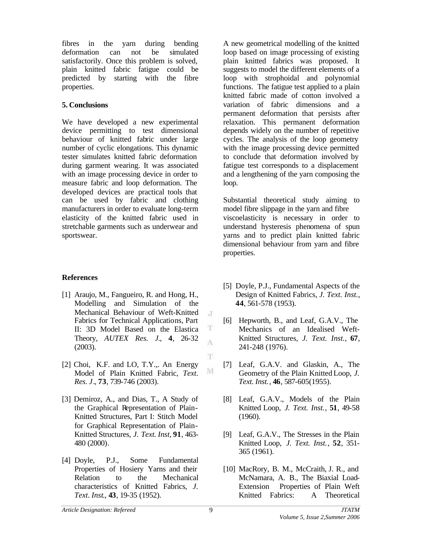fibres in the yarn during bending deformation can not be simulated satisfactorily. Once this problem is solved, plain knitted fabric fatigue could be predicted by starting with the fibre properties.

## **5. Conclusions**

We have developed a new experimental device permitting to test dimensional behaviour of knitted fabric under large number of cyclic elongations. This dynamic tester simulates knitted fabric deformation during garment wearing. It was associated with an image processing device in order to measure fabric and loop deformation. The developed devices are practical tools that can be used by fabric and clothing manufacturers in order to evaluate long-term elasticity of the knitted fabric used in stretchable garments such as underwear and sportswear.

# **References**

- [1] Araujo, M., Fangueiro, R. and Hong, H., Modelling and Simulation of the Mechanical Behaviour of Weft-Knitted Fabrics for Technical Applications, Part II: 3D Model Based on the Elastica Theory, *AUTEX Res. J*., **4**, 26-32 (2003).
- [2] Choi, K.F. and LO, T.Y.,. An Energy Model of Plain Knitted Fabric, *Text. Res. J*.*,* **73**, 739-746 (2003).
- [3] Demiroz, A., and Dias, T., A Study of the Graphical Representation of Plain-Knitted Structures, Part I: Stitch Model for Graphical Representation of Plain-Knitted Structures, *J. Text. Inst,* **91**, 463- 480 (2000).
- [4] Doyle, P.J., Some Fundamental Properties of Hosiery Yarns and their Relation to the Mechanical characteristics of Knitted Fabrics, *J. Text. Inst*., **43**, 19-35 (1952).

A new geometrical modelling of the knitted loop based on image processing of existing plain knitted fabrics was proposed. It suggests to model the different elements of a loop with strophoidal and polynomial functions. The fatigue test applied to a plain knitted fabric made of cotton involved a variation of fabric dimensions and a permanent deformation that persists after relaxation. This permanent deformation depends widely on the number of repetitive cycles. The analysis of the loop geometry with the image processing device permitted to conclude that deformation involved by fatigue test corresponds to a displacement and a lengthening of the yarn composing the loop.

Substantial theoretical study aiming to model fibre slippage in the yarn and fibre viscoelasticity is necessary in order to understand hysteresis phenomena of spun yarns and to predict plain knitted fabric dimensional behaviour from yarn and fibre properties.

- [5] Doyle, P.J., Fundamental Aspects of the Design of Knitted Fabrics, *J. Text. Inst.,* **44**, 561-578 (1953).
- [6] Hepworth, B., and Leaf, G.A.V., The Mechanics of an Idealised Weft-Knitted Structures, *J. Text. Inst.,* **67**, 241-248 (1976).
- [7] Leaf, G.A.V. and Glaskin, A., The Geometry of the Plain Knitted Loop, *J. Text. Inst.*, **46**, 587-605(1955).
- [8] Leaf, G.A.V., Models of the Plain Knitted Loop, *J. Text. Inst.*, **51**, 49-58 (1960).
- [9] Leaf, G.A.V., The Stresses in the Plain Knitted Loop, *J. Text. Inst.*, **52**, 351- 365 (1961).
- [10] MacRory, B. M., McCraith, J. R., and McNamara, A. B., The Biaxial Load-Extension Properties of Plain Weft Knitted Fabrics: A Theoretical

 $\mathcal{X}$ 

T A

T

M